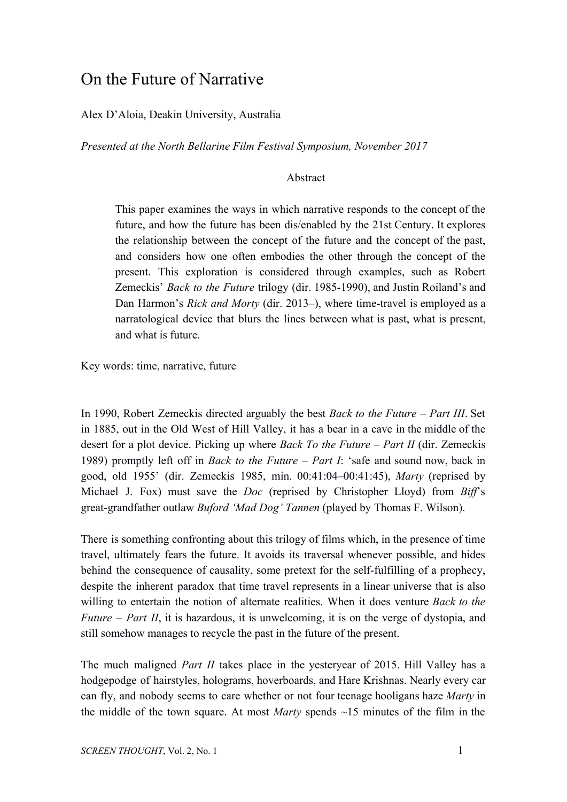## On the Future of Narrative

## Alex D'Aloia, Deakin University, Australia

*Presented at the North Bellarine Film Festival Symposium, November 2017*

## Abstract

This paper examines the ways in which narrative responds to the concept of the future, and how the future has been dis/enabled by the 21st Century. It explores the relationship between the concept of the future and the concept of the past, and considers how one often embodies the other through the concept of the present. This exploration is considered through examples, such as Robert Zemeckis' *Back to the Future* trilogy (dir. 1985-1990), and Justin Roiland's and Dan Harmon's *Rick and Morty* (dir. 2013–), where time-travel is employed as a narratological device that blurs the lines between what is past, what is present, and what is future.

Key words: time, narrative, future

In 1990, Robert Zemeckis directed arguably the best *Back to the Future – Part III*. Set in 1885, out in the Old West of Hill Valley, it has a bear in a cave in the middle of the desert for a plot device. Picking up where *Back To the Future – Part II* (dir. Zemeckis 1989) promptly left off in *Back to the Future – Part I*: 'safe and sound now, back in good, old 1955' (dir. Zemeckis 1985, min. 00:41:04–00:41:45), *Marty* (reprised by Michael J. Fox) must save the *Doc* (reprised by Christopher Lloyd) from *Biff*'s great-grandfather outlaw *Buford 'Mad Dog' Tannen* (played by Thomas F. Wilson).

There is something confronting about this trilogy of films which, in the presence of time travel, ultimately fears the future. It avoids its traversal whenever possible, and hides behind the consequence of causality, some pretext for the self-fulfilling of a prophecy, despite the inherent paradox that time travel represents in a linear universe that is also willing to entertain the notion of alternate realities. When it does venture *Back to the Future – Part II*, it is hazardous, it is unwelcoming, it is on the verge of dystopia, and still somehow manages to recycle the past in the future of the present.

The much maligned *Part II* takes place in the yesteryear of 2015. Hill Valley has a hodgepodge of hairstyles, holograms, hoverboards, and Hare Krishnas. Nearly every car can fly, and nobody seems to care whether or not four teenage hooligans haze *Marty* in the middle of the town square. At most *Marty* spends ~15 minutes of the film in the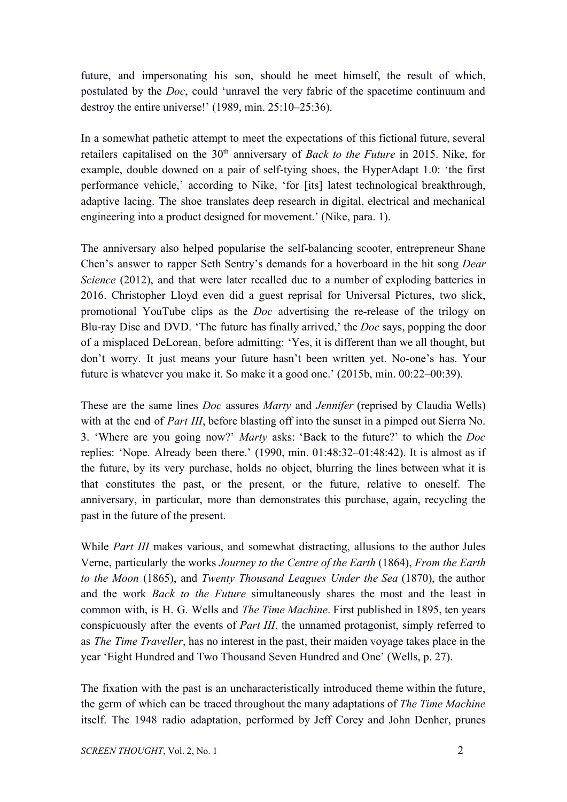future, and impersonating his son, should he meet himself, the result of which, postulated by the *Doc*, could 'unravel the very fabric of the spacetime continuum and destroy the entire universe!' (1989, min. 25:10–25:36).

In a somewhat pathetic attempt to meet the expectations of this fictional future, several retailers capitalised on the 30th anniversary of *Back to the Future* in 2015. Nike, for example, double downed on a pair of self-tying shoes, the HyperAdapt 1.0: 'the first performance vehicle,' according to Nike, 'for [its] latest technological breakthrough, adaptive lacing. The shoe translates deep research in digital, electrical and mechanical engineering into a product designed for movement.' (Nike, para. 1).

The anniversary also helped popularise the self-balancing scooter, entrepreneur Shane Chen's answer to rapper Seth Sentry's demands for a hoverboard in the hit song *Dear Science* (2012), and that were later recalled due to a number of exploding batteries in 2016. Christopher Lloyd even did a guest reprisal for Universal Pictures, two slick, promotional YouTube clips as the *Doc* advertising the re-release of the trilogy on Blu-ray Disc and DVD. 'The future has finally arrived,' the *Doc* says, popping the door of a misplaced DeLorean, before admitting: 'Yes, it is different than we all thought, but don't worry. It just means your future hasn't been written yet. No-one's has. Your future is whatever you make it. So make it a good one.' (2015b, min. 00:22–00:39).

These are the same lines *Doc* assures *Marty* and *Jennifer* (reprised by Claudia Wells) with at the end of *Part III*, before blasting off into the sunset in a pimped out Sierra No. 3. 'Where are you going now?' *Marty* asks: 'Back to the future?' to which the *Doc* replies: 'Nope. Already been there.' (1990, min. 01:48:32–01:48:42). It is almost as if the future, by its very purchase, holds no object, blurring the lines between what it is that constitutes the past, or the present, or the future, relative to oneself. The anniversary, in particular, more than demonstrates this purchase, again, recycling the past in the future of the present.

While *Part III* makes various, and somewhat distracting, allusions to the author Jules Verne, particularly the works *Journey to the Centre of the Earth* (1864), *From the Earth to the Moon* (1865), and *Twenty Thousand Leagues Under the Sea* (1870), the author and the work *Back to the Future* simultaneously shares the most and the least in common with, is H. G. Wells and *The Time Machine*. First published in 1895, ten years conspicuously after the events of *Part III*, the unnamed protagonist, simply referred to as *The Time Traveller*, has no interest in the past, their maiden voyage takes place in the year 'Eight Hundred and Two Thousand Seven Hundred and One' (Wells, p. 27).

The fixation with the past is an uncharacteristically introduced theme within the future, the germ of which can be traced throughout the many adaptations of *The Time Machine* itself. The 1948 radio adaptation, performed by Jeff Corey and John Denher, prunes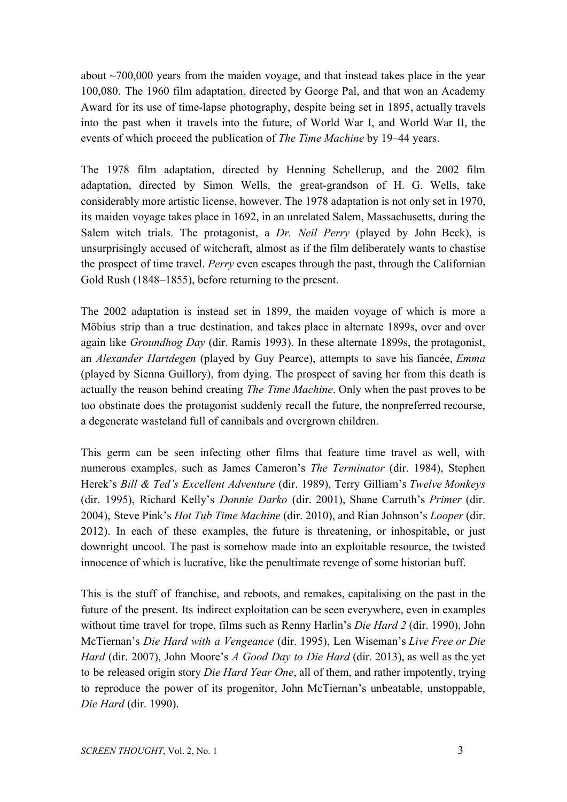about  $\sim$ 700,000 years from the maiden voyage, and that instead takes place in the year 100,080. The 1960 film adaptation, directed by George Pal, and that won an Academy Award for its use of time-lapse photography, despite being set in 1895, actually travels into the past when it travels into the future, of World War I, and World War II, the events of which proceed the publication of *The Time Machine* by 19–44 years.

The 1978 film adaptation, directed by Henning Schellerup, and the 2002 film adaptation, directed by Simon Wells, the great-grandson of H. G. Wells, take considerably more artistic license, however. The 1978 adaptation is not only set in 1970, its maiden voyage takes place in 1692, in an unrelated Salem, Massachusetts, during the Salem witch trials. The protagonist, a *Dr. Neil Perry* (played by John Beck), is unsurprisingly accused of witchcraft, almost as if the film deliberately wants to chastise the prospect of time travel. *Perry* even escapes through the past, through the Californian Gold Rush (1848–1855), before returning to the present.

The 2002 adaptation is instead set in 1899, the maiden voyage of which is more a Möbius strip than a true destination, and takes place in alternate 1899s, over and over again like *Groundhog Day* (dir. Ramis 1993). In these alternate 1899s, the protagonist, an *Alexander Hartdegen* (played by Guy Pearce), attempts to save his fiancée, *Emma* (played by Sienna Guillory), from dying. The prospect of saving her from this death is actually the reason behind creating *The Time Machine*. Only when the past proves to be too obstinate does the protagonist suddenly recall the future, the nonpreferred recourse, a degenerate wasteland full of cannibals and overgrown children.

This germ can be seen infecting other films that feature time travel as well, with numerous examples, such as James Cameron's *The Terminator* (dir. 1984), Stephen Herek's *Bill & Ted's Excellent Adventure* (dir. 1989), Terry Gilliam's *Twelve Monkeys* (dir. 1995), Richard Kelly's *Donnie Darko* (dir. 2001), Shane Carruth's *Primer* (dir. 2004), Steve Pink's *Hot Tub Time Machine* (dir. 2010), and Rian Johnson's *Looper* (dir. 2012). In each of these examples, the future is threatening, or inhospitable, or just downright uncool. The past is somehow made into an exploitable resource, the twisted innocence of which is lucrative, like the penultimate revenge of some historian buff.

This is the stuff of franchise, and reboots, and remakes, capitalising on the past in the future of the present. Its indirect exploitation can be seen everywhere, even in examples without time travel for trope, films such as Renny Harlin's *Die Hard 2* (dir. 1990), John McTiernan's *Die Hard with a Vengeance* (dir. 1995), Len Wiseman's *Live Free or Die Hard* (dir. 2007), John Moore's *A Good Day to Die Hard* (dir. 2013), as well as the yet to be released origin story *Die Hard Year One*, all of them, and rather impotently, trying to reproduce the power of its progenitor, John McTiernan's unbeatable, unstoppable, *Die Hard* (dir. 1990).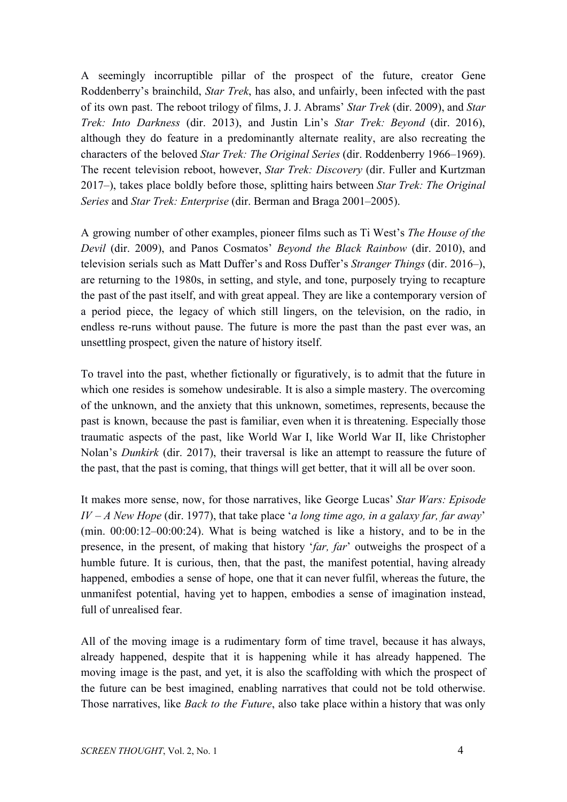A seemingly incorruptible pillar of the prospect of the future, creator Gene Roddenberry's brainchild, *Star Trek*, has also, and unfairly, been infected with the past of its own past. The reboot trilogy of films, J. J. Abrams' *Star Trek* (dir. 2009), and *Star Trek: Into Darkness* (dir. 2013), and Justin Lin's *Star Trek: Beyond* (dir. 2016), although they do feature in a predominantly alternate reality, are also recreating the characters of the beloved *Star Trek: The Original Series* (dir. Roddenberry 1966–1969). The recent television reboot, however, *Star Trek: Discovery* (dir. Fuller and Kurtzman 2017–), takes place boldly before those, splitting hairs between *Star Trek: The Original Series* and *Star Trek: Enterprise* (dir. Berman and Braga 2001–2005).

A growing number of other examples, pioneer films such as Ti West's *The House of the Devil* (dir. 2009), and Panos Cosmatos' *Beyond the Black Rainbow* (dir. 2010), and television serials such as Matt Duffer's and Ross Duffer's *Stranger Things* (dir. 2016–), are returning to the 1980s, in setting, and style, and tone, purposely trying to recapture the past of the past itself, and with great appeal. They are like a contemporary version of a period piece, the legacy of which still lingers, on the television, on the radio, in endless re-runs without pause. The future is more the past than the past ever was, an unsettling prospect, given the nature of history itself.

To travel into the past, whether fictionally or figuratively, is to admit that the future in which one resides is somehow undesirable. It is also a simple mastery. The overcoming of the unknown, and the anxiety that this unknown, sometimes, represents, because the past is known, because the past is familiar, even when it is threatening. Especially those traumatic aspects of the past, like World War I, like World War II, like Christopher Nolan's *Dunkirk* (dir. 2017), their traversal is like an attempt to reassure the future of the past, that the past is coming, that things will get better, that it will all be over soon.

It makes more sense, now, for those narratives, like George Lucas' *Star Wars: Episode IV – A New Hope* (dir. 1977), that take place '*a long time ago, in a galaxy far, far away*' (min. 00:00:12–00:00:24). What is being watched is like a history, and to be in the presence, in the present, of making that history '*far, far*' outweighs the prospect of a humble future. It is curious, then, that the past, the manifest potential, having already happened, embodies a sense of hope, one that it can never fulfil, whereas the future, the unmanifest potential, having yet to happen, embodies a sense of imagination instead, full of unrealised fear.

All of the moving image is a rudimentary form of time travel, because it has always, already happened, despite that it is happening while it has already happened. The moving image is the past, and yet, it is also the scaffolding with which the prospect of the future can be best imagined, enabling narratives that could not be told otherwise. Those narratives, like *Back to the Future*, also take place within a history that was only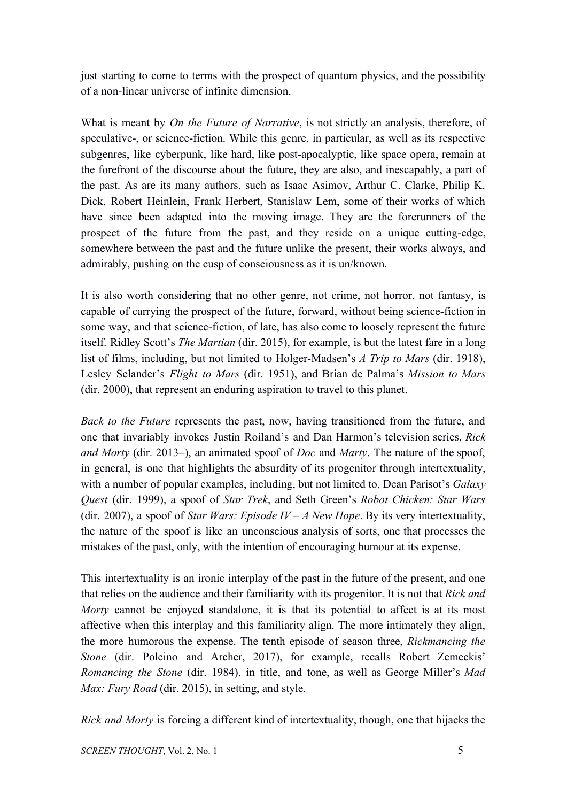just starting to come to terms with the prospect of quantum physics, and the possibility of a non-linear universe of infinite dimension.

What is meant by *On the Future of Narrative*, is not strictly an analysis, therefore, of speculative-, or science-fiction. While this genre, in particular, as well as its respective subgenres, like cyberpunk, like hard, like post-apocalyptic, like space opera, remain at the forefront of the discourse about the future, they are also, and inescapably, a part of the past. As are its many authors, such as Isaac Asimov, Arthur C. Clarke, Philip K. Dick, Robert Heinlein, Frank Herbert, Stanislaw Lem, some of their works of which have since been adapted into the moving image. They are the forerunners of the prospect of the future from the past, and they reside on a unique cutting-edge, somewhere between the past and the future unlike the present, their works always, and admirably, pushing on the cusp of consciousness as it is un/known.

It is also worth considering that no other genre, not crime, not horror, not fantasy, is capable of carrying the prospect of the future, forward, without being science-fiction in some way, and that science-fiction, of late, has also come to loosely represent the future itself. Ridley Scott's *The Martian* (dir. 2015), for example, is but the latest fare in a long list of films, including, but not limited to Holger-Madsen's *A Trip to Mars* (dir. 1918), Lesley Selander's *Flight to Mars* (dir. 1951), and Brian de Palma's *Mission to Mars* (dir. 2000), that represent an enduring aspiration to travel to this planet.

*Back to the Future* represents the past, now, having transitioned from the future, and one that invariably invokes Justin Roiland's and Dan Harmon's television series, *Rick and Morty* (dir. 2013–), an animated spoof of *Doc* and *Marty*. The nature of the spoof, in general, is one that highlights the absurdity of its progenitor through intertextuality, with a number of popular examples, including, but not limited to, Dean Parisot's *Galaxy Quest* (dir. 1999), a spoof of *Star Trek*, and Seth Green's *Robot Chicken: Star Wars* (dir. 2007), a spoof of *Star Wars: Episode IV – A New Hope*. By its very intertextuality, the nature of the spoof is like an unconscious analysis of sorts, one that processes the mistakes of the past, only, with the intention of encouraging humour at its expense.

This intertextuality is an ironic interplay of the past in the future of the present, and one that relies on the audience and their familiarity with its progenitor. It is not that *Rick and Morty* cannot be enjoyed standalone, it is that its potential to affect is at its most affective when this interplay and this familiarity align. The more intimately they align, the more humorous the expense. The tenth episode of season three, *Rickmancing the Stone* (dir. Polcino and Archer, 2017), for example, recalls Robert Zemeckis' *Romancing the Stone* (dir. 1984), in title, and tone, as well as George Miller's *Mad Max: Fury Road* (dir. 2015), in setting, and style.

*Rick and Morty* is forcing a different kind of intertextuality, though, one that hijacks the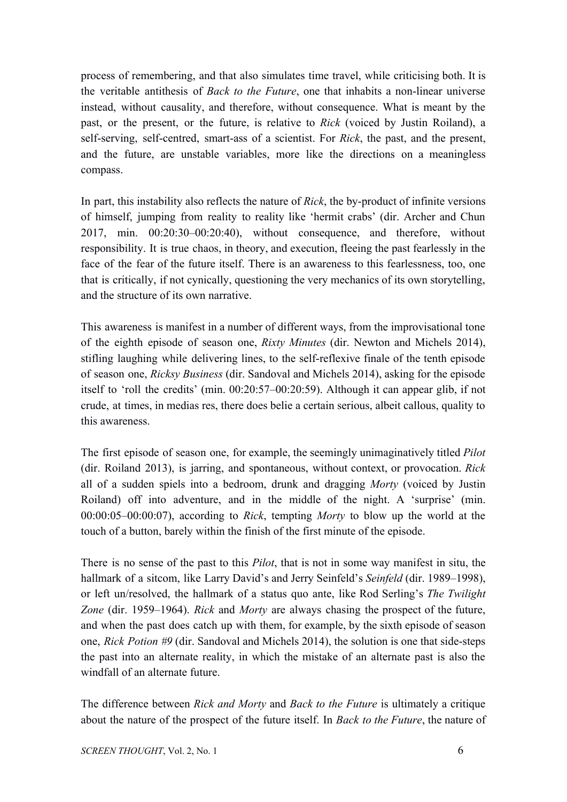process of remembering, and that also simulates time travel, while criticising both. It is the veritable antithesis of *Back to the Future*, one that inhabits a non-linear universe instead, without causality, and therefore, without consequence. What is meant by the past, or the present, or the future, is relative to *Rick* (voiced by Justin Roiland), a self-serving, self-centred, smart-ass of a scientist. For *Rick*, the past, and the present, and the future, are unstable variables, more like the directions on a meaningless compass.

In part, this instability also reflects the nature of *Rick*, the by-product of infinite versions of himself, jumping from reality to reality like 'hermit crabs' (dir. Archer and Chun 2017, min. 00:20:30–00:20:40), without consequence, and therefore, without responsibility. It is true chaos, in theory, and execution, fleeing the past fearlessly in the face of the fear of the future itself. There is an awareness to this fearlessness, too, one that is critically, if not cynically, questioning the very mechanics of its own storytelling, and the structure of its own narrative.

This awareness is manifest in a number of different ways, from the improvisational tone of the eighth episode of season one, *Rixty Minutes* (dir. Newton and Michels 2014), stifling laughing while delivering lines, to the self-reflexive finale of the tenth episode of season one, *Ricksy Business* (dir. Sandoval and Michels 2014), asking for the episode itself to 'roll the credits' (min. 00:20:57–00:20:59). Although it can appear glib, if not crude, at times, in medias res, there does belie a certain serious, albeit callous, quality to this awareness.

The first episode of season one, for example, the seemingly unimaginatively titled *Pilot* (dir. Roiland 2013), is jarring, and spontaneous, without context, or provocation. *Rick* all of a sudden spiels into a bedroom, drunk and dragging *Morty* (voiced by Justin Roiland) off into adventure, and in the middle of the night. A 'surprise' (min. 00:00:05–00:00:07), according to *Rick*, tempting *Morty* to blow up the world at the touch of a button, barely within the finish of the first minute of the episode.

There is no sense of the past to this *Pilot*, that is not in some way manifest in situ, the hallmark of a sitcom, like Larry David's and Jerry Seinfeld's *Seinfeld* (dir. 1989–1998), or left un/resolved, the hallmark of a status quo ante, like Rod Serling's *The Twilight Zone* (dir. 1959–1964). *Rick* and *Morty* are always chasing the prospect of the future, and when the past does catch up with them, for example, by the sixth episode of season one, *Rick Potion #9* (dir. Sandoval and Michels 2014), the solution is one that side-steps the past into an alternate reality, in which the mistake of an alternate past is also the windfall of an alternate future.

The difference between *Rick and Morty* and *Back to the Future* is ultimately a critique about the nature of the prospect of the future itself. In *Back to the Future*, the nature of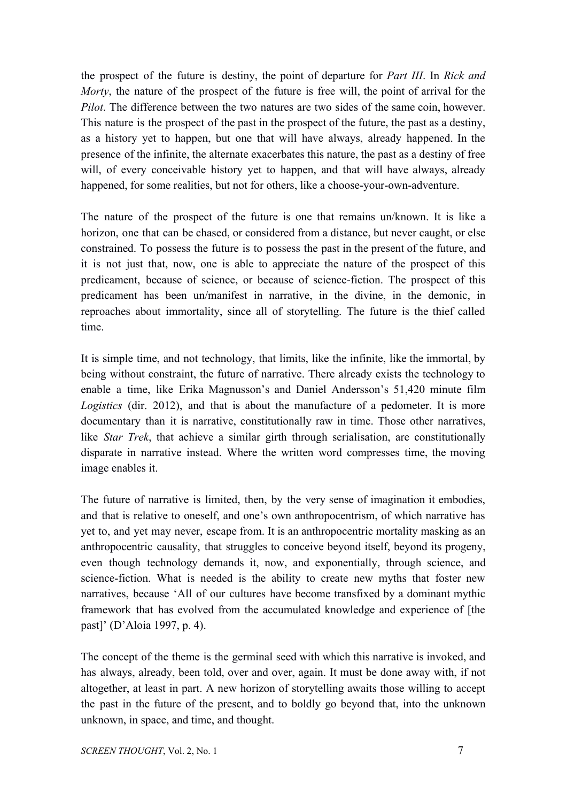the prospect of the future is destiny, the point of departure for *Part III*. In *Rick and Morty*, the nature of the prospect of the future is free will, the point of arrival for the *Pilot*. The difference between the two natures are two sides of the same coin, however. This nature is the prospect of the past in the prospect of the future, the past as a destiny, as a history yet to happen, but one that will have always, already happened. In the presence of the infinite, the alternate exacerbates this nature, the past as a destiny of free will, of every conceivable history yet to happen, and that will have always, already happened, for some realities, but not for others, like a choose-your-own-adventure.

The nature of the prospect of the future is one that remains un/known. It is like a horizon, one that can be chased, or considered from a distance, but never caught, or else constrained. To possess the future is to possess the past in the present of the future, and it is not just that, now, one is able to appreciate the nature of the prospect of this predicament, because of science, or because of science-fiction. The prospect of this predicament has been un/manifest in narrative, in the divine, in the demonic, in reproaches about immortality, since all of storytelling. The future is the thief called time.

It is simple time, and not technology, that limits, like the infinite, like the immortal, by being without constraint, the future of narrative. There already exists the technology to enable a time, like Erika Magnusson's and Daniel Andersson's 51,420 minute film *Logistics* (dir. 2012), and that is about the manufacture of a pedometer. It is more documentary than it is narrative, constitutionally raw in time. Those other narratives, like *Star Trek*, that achieve a similar girth through serialisation, are constitutionally disparate in narrative instead. Where the written word compresses time, the moving image enables it.

The future of narrative is limited, then, by the very sense of imagination it embodies, and that is relative to oneself, and one's own anthropocentrism, of which narrative has yet to, and yet may never, escape from. It is an anthropocentric mortality masking as an anthropocentric causality, that struggles to conceive beyond itself, beyond its progeny, even though technology demands it, now, and exponentially, through science, and science-fiction. What is needed is the ability to create new myths that foster new narratives, because 'All of our cultures have become transfixed by a dominant mythic framework that has evolved from the accumulated knowledge and experience of [the past]' (D'Aloia 1997, p. 4).

The concept of the theme is the germinal seed with which this narrative is invoked, and has always, already, been told, over and over, again. It must be done away with, if not altogether, at least in part. A new horizon of storytelling awaits those willing to accept the past in the future of the present, and to boldly go beyond that, into the unknown unknown, in space, and time, and thought.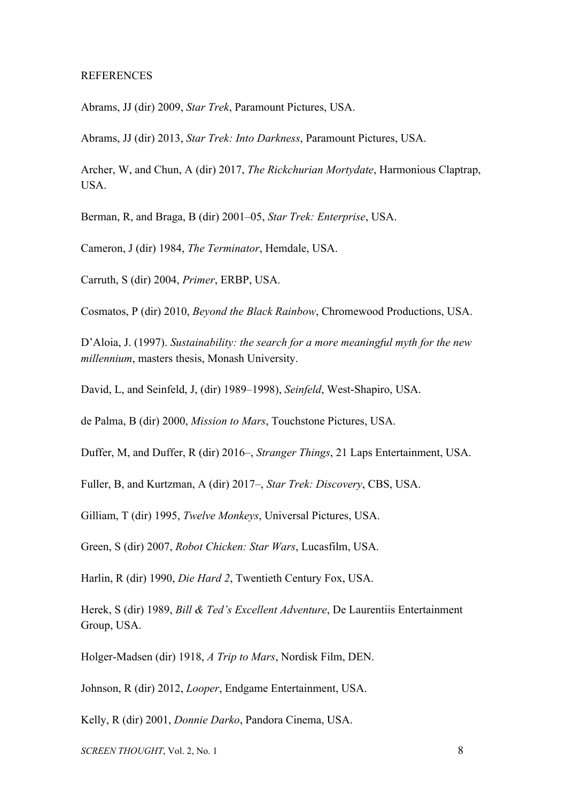## **REFERENCES**

Abrams, JJ (dir) 2009, *Star Trek*, Paramount Pictures, USA.

Abrams, JJ (dir) 2013, *Star Trek: Into Darkness*, Paramount Pictures, USA.

Archer, W, and Chun, A (dir) 2017, *The Rickchurian Mortydate*, Harmonious Claptrap, USA.

Berman, R, and Braga, B (dir) 2001–05, *Star Trek: Enterprise*, USA.

Cameron, J (dir) 1984, *The Terminator*, Hemdale, USA.

Carruth, S (dir) 2004, *Primer*, ERBP, USA.

Cosmatos, P (dir) 2010, *Beyond the Black Rainbow*, Chromewood Productions, USA.

D'Aloia, J. (1997). *Sustainability: the search for a more meaningful myth for the new millennium*, masters thesis, Monash University.

David, L, and Seinfeld, J, (dir) 1989–1998), *Seinfeld*, West-Shapiro, USA.

de Palma, B (dir) 2000, *Mission to Mars*, Touchstone Pictures, USA.

Duffer, M, and Duffer, R (dir) 2016–, *Stranger Things*, 21 Laps Entertainment, USA.

Fuller, B, and Kurtzman, A (dir) 2017–, *Star Trek: Discovery*, CBS, USA.

Gilliam, T (dir) 1995, *Twelve Monkeys*, Universal Pictures, USA.

Green, S (dir) 2007, *Robot Chicken: Star Wars*, Lucasfilm, USA.

Harlin, R (dir) 1990, *Die Hard 2*, Twentieth Century Fox, USA.

Herek, S (dir) 1989, *Bill & Ted's Excellent Adventure*, De Laurentiis Entertainment Group, USA.

Holger-Madsen (dir) 1918, *A Trip to Mars*, Nordisk Film, DEN.

Johnson, R (dir) 2012, *Looper*, Endgame Entertainment, USA.

Kelly, R (dir) 2001, *Donnie Darko*, Pandora Cinema, USA.

*SCREEN THOUGHT*, Vol. 2, No. 1 8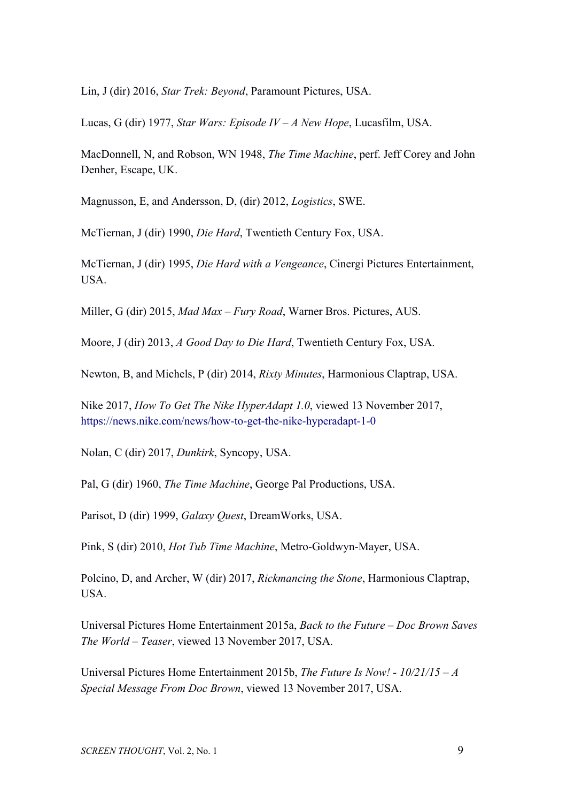Lin, J (dir) 2016, *Star Trek: Beyond*, Paramount Pictures, USA.

Lucas, G (dir) 1977, *Star Wars: Episode IV – A New Hope*, Lucasfilm, USA.

MacDonnell, N, and Robson, WN 1948, *The Time Machine*, perf. Jeff Corey and John Denher, Escape, UK.

Magnusson, E, and Andersson, D, (dir) 2012, *Logistics*, SWE.

McTiernan, J (dir) 1990, *Die Hard*, Twentieth Century Fox, USA.

McTiernan, J (dir) 1995, *Die Hard with a Vengeance*, Cinergi Pictures Entertainment, USA.

Miller, G (dir) 2015, *Mad Max – Fury Road*, Warner Bros. Pictures, AUS.

Moore, J (dir) 2013, *A Good Day to Die Hard*, Twentieth Century Fox, USA.

Newton, B, and Michels, P (dir) 2014, *Rixty Minutes*, Harmonious Claptrap, USA.

Nike 2017, *How To Get The Nike HyperAdapt 1.0*, viewed 13 November 2017, <https://news.nike.com/news/how-to-get-the-nike-hyperadapt-1-0>

Nolan, C (dir) 2017, *Dunkirk*, Syncopy, USA.

Pal, G (dir) 1960, *The Time Machine*, George Pal Productions, USA.

Parisot, D (dir) 1999, *Galaxy Quest*, DreamWorks, USA.

Pink, S (dir) 2010, *Hot Tub Time Machine*, Metro-Goldwyn-Mayer, USA.

Polcino, D, and Archer, W (dir) 2017, *Rickmancing the Stone*, Harmonious Claptrap, USA.

Universal Pictures Home Entertainment 2015a, *Back to the Future – Doc Brown Saves The World – Teaser*, viewed 13 November 2017, USA.

Universal Pictures Home Entertainment 2015b, *The Future Is Now! - 10/21/15 – A Special Message From Doc Brown*, viewed 13 November 2017, USA.